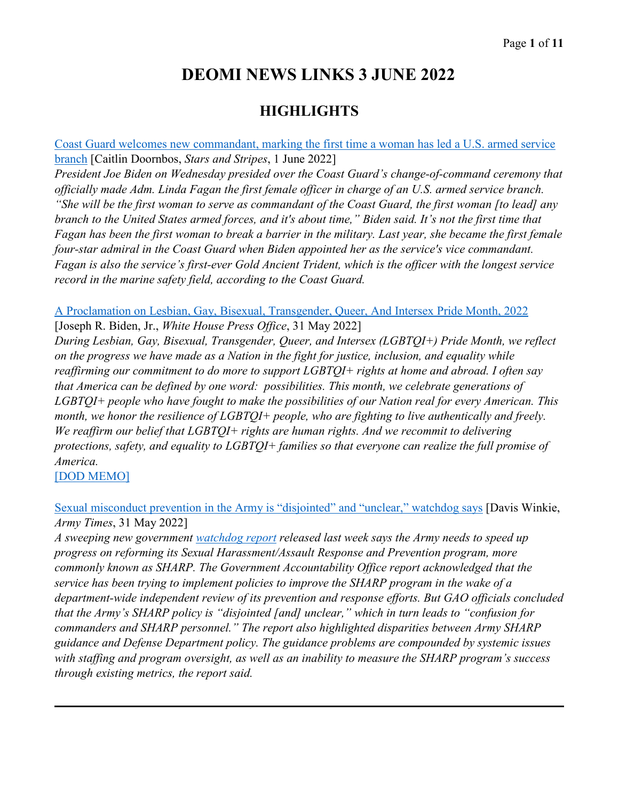# **DEOMI NEWS LINKS 3 JUNE 2022**

## **HIGHLIGHTS**

[Coast Guard welcomes new commandant, marking the first time a woman has led a U.S. armed service](https://www.stripes.com/branches/coast_guard/2022-06-01/female-coast-guard-commandant-biden-6199310.html)  [branch](https://www.stripes.com/branches/coast_guard/2022-06-01/female-coast-guard-commandant-biden-6199310.html) [Caitlin Doornbos, *Stars and Stripes*, 1 June 2022]

*President Joe Biden on Wednesday presided over the Coast Guard's change-of-command ceremony that officially made Adm. Linda Fagan the first female officer in charge of an U.S. armed service branch. "She will be the first woman to serve as commandant of the Coast Guard, the first woman [to lead] any branch to the United States armed forces, and it's about time," Biden said. It's not the first time that Fagan has been the first woman to break a barrier in the military. Last year, she became the first female four-star admiral in the Coast Guard when Biden appointed her as the service's vice commandant. Fagan is also the service's first-ever Gold Ancient Trident, which is the officer with the longest service record in the marine safety field, according to the Coast Guard.* 

[A Proclamation on Lesbian, Gay, Bisexual, Transgender, Queer, And Intersex Pride Month, 2022](https://www.whitehouse.gov/briefing-room/presidential-actions/2022/05/31/a-proclamation-on-lesbian-gay-bisexual-transgender-queer-and-intersex-pride-month-2022/) [Joseph R. Biden, Jr., *White House Press Office*, 31 May 2022]

*During Lesbian, Gay, Bisexual, Transgender, Queer, and Intersex (LGBTQI+) Pride Month, we reflect on the progress we have made as a Nation in the fight for justice, inclusion, and equality while reaffirming our commitment to do more to support LGBTQI+ rights at home and abroad. I often say that America can be defined by one word: possibilities. This month, we celebrate generations of LGBTQI+ people who have fought to make the possibilities of our Nation real for every American. This month, we honor the resilience of LGBTQI+ people, who are fighting to live authentically and freely. We reaffirm our belief that LGBTQI+ rights are human rights. And we recommit to delivering protections, safety, and equality to LGBTQI+ families so that everyone can realize the full promise of America.*

[\[DOD MEMO\]](https://media.defense.gov/2022/Jun/02/2003010403/-1/-1/0/2022-PRIDE-MONTH-OBSERVANCE.PDF)

[Sexual misconduct prevention in the Army is "disjointed" and "unclear,"](https://www.armytimes.com/news/your-army/2022/05/31/sexual-misconduct-prevention-in-the-army-is-disjointed-and-unclear-watchdog-says/) watchdog says [Davis Winkie, *Army Times*, 31 May 2022]

*A sweeping new government [watchdog report](https://www.gao.gov/assets/gao-22-104673.pdf) released last week says the Army needs to speed up progress on reforming its Sexual Harassment/Assault Response and Prevention program, more commonly known as SHARP. The Government Accountability Office report acknowledged that the service has been trying to implement policies to improve the SHARP program in the wake of a department-wide independent review of its prevention and response efforts. But GAO officials concluded that the Army's SHARP policy is "disjointed [and] unclear," which in turn leads to "confusion for commanders and SHARP personnel." The report also highlighted disparities between Army SHARP guidance and Defense Department policy. The guidance problems are compounded by systemic issues with staffing and program oversight, as well as an inability to measure the SHARP program's success through existing metrics, the report said.*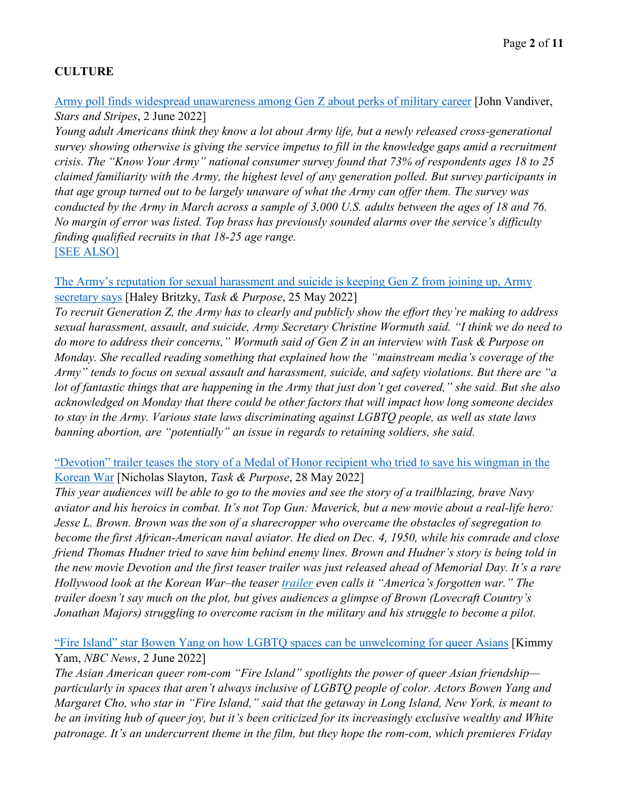## **CULTURE**

#### [Army poll finds widespread unawareness among Gen Z about perks of military career](https://www.stripes.com/branches/army/2022-06-02/gen-z-army-recruit-6207756.html) [John Vandiver, *Stars and Stripes*, 2 June 2022]

*Young adult Americans think they know a lot about Army life, but a newly released cross-generational survey showing otherwise is giving the service impetus to fill in the knowledge gaps amid a recruitment crisis. The "Know Your Army" national consumer survey found that 73% of respondents ages 18 to 25 claimed familiarity with the Army, the highest level of any generation polled. But survey participants in that age group turned out to be largely unaware of what the Army can offer them. The survey was conducted by the Army in March across a sample of 3,000 U.S. adults between the ages of 18 and 76. No margin of error was listed. Top brass has previously sounded alarms over the service's difficulty finding qualified recruits in that 18-25 age range.*  [\[SEE ALSO\]](https://www.army.mil/standto/archive/2022/03/18/)

#### [The Army's reputation for sexual harassment and suicide is keeping Gen Z from joining up, Army](https://taskandpurpose.com/news/is-generation-z-joining-the-army/)  [secretary says](https://taskandpurpose.com/news/is-generation-z-joining-the-army/) [Haley Britzky, *Task & Purpose*, 25 May 2022]

*To recruit Generation Z, the Army has to clearly and publicly show the effort they're making to address sexual harassment, assault, and suicide, Army Secretary Christine Wormuth said. "I think we do need to do more to address their concerns," Wormuth said of Gen Z in an interview with Task & Purpose on Monday. She recalled reading something that explained how the "mainstream media's coverage of the Army" tends to focus on sexual assault and harassment, suicide, and safety violations. But there are "a lot of fantastic things that are happening in the Army that just don't get covered," she said. But she also acknowledged on Monday that there could be other factors that will impact how long someone decides to stay in the Army. Various state laws discriminating against LGBTQ people, as well as state laws banning abortion, are "potentially" an issue in regards to retaining soldiers, she said.* 

#### ["Devotion" trailer teases the story of a Medal of Honor recipient who tried to save his wingman in the](https://taskandpurpose.com/entertainment/devotion-trailer-brings-jesse-browns-heroism-in-korean-war-to-life/)  [Korean War](https://taskandpurpose.com/entertainment/devotion-trailer-brings-jesse-browns-heroism-in-korean-war-to-life/) [Nicholas Slayton, *Task & Purpose*, 28 May 2022]

*This year audiences will be able to go to the movies and see the story of a trailblazing, brave Navy aviator and his heroics in combat. It's not Top Gun: Maverick, but a new movie about a real-life hero: Jesse L. Brown. Brown was the son of a sharecropper who overcame the obstacles of segregation to become the first African-American naval aviator. He died on Dec. 4, 1950, while his comrade and close friend Thomas Hudner tried to save him behind enemy lines. Brown and Hudner's story is being told in the new movie Devotion and the first teaser trailer was just released ahead of Memorial Day. It's a rare Hollywood look at the Korean War–the teaser [trailer](https://youtu.be/-2qpKUExOnE) even calls it "America's forgotten war." The trailer doesn't say much on the plot, but gives audiences a glimpse of Brown (Lovecraft Country's Jonathan Majors) struggling to overcome racism in the military and his struggle to become a pilot.* 

#### ["Fire Island" star Bowen Yang on how LGBTQ spaces can be unwelcoming for queer Asians](https://www.nbcnews.com/news/asian-america/fire-island-star-bowen-yang-lgbtq-spaces-can-unwelcoming-queer-asians-rcna31306) [Kimmy Yam, *NBC News*, 2 June 2022]

*The Asian American queer rom-com "Fire Island" spotlights the power of queer Asian friendship particularly in spaces that aren't always inclusive of LGBTQ people of color. Actors Bowen Yang and Margaret Cho, who star in "Fire Island," said that the getaway in Long Island, New York, is meant to be an inviting hub of queer joy, but it's been criticized for its increasingly exclusive wealthy and White patronage. It's an undercurrent theme in the film, but they hope the rom-com, which premieres Friday*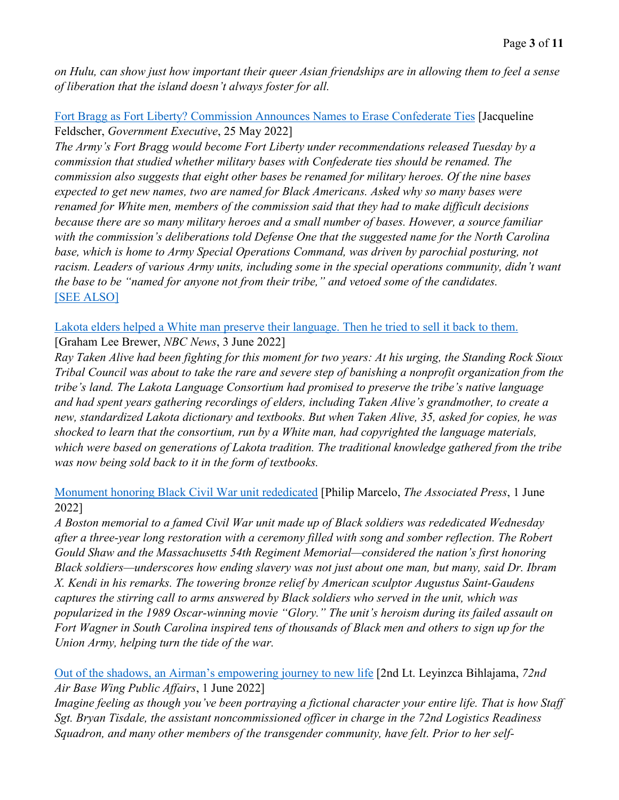*on Hulu, can show just how important their queer Asian friendships are in allowing them to feel a sense of liberation that the island doesn't always foster for all.* 

### [Fort Bragg as Fort Liberty? Commission Announces Names to Erase Confederate Ties](https://www.govexec.com/defense/2022/05/fort-bragg-fort-liberty-commission-announces-names-erase-confederate-ties/367376/) [Jacqueline Feldscher, *Government Executive*, 25 May 2022]

*The Army's Fort Bragg would become Fort Liberty under recommendations released Tuesday by a commission that studied whether military bases with Confederate ties should be renamed. The commission also suggests that eight other bases be renamed for military heroes. Of the nine bases expected to get new names, two are named for Black Americans. Asked why so many bases were renamed for White men, members of the commission said that they had to make difficult decisions because there are so many military heroes and a small number of bases. However, a source familiar with the commission's deliberations told Defense One that the suggested name for the North Carolina base, which is home to Army Special Operations Command, was driven by parochial posturing, not racism. Leaders of various Army units, including some in the special operations community, didn't want the base to be "named for anyone not from their tribe," and vetoed some of the candidates.* [\[SEE ALSO\]](https://taskandpurpose.com/news/fort-hamilton-general-lee-john-warren-avenue/)

[Lakota elders helped a White man preserve their language. Then he tried to sell it back to them.](https://www.nbcnews.com/news/us-news/native-american-language-preservation-rcna31396) [Graham Lee Brewer, *NBC News*, 3 June 2022]

*Ray Taken Alive had been fighting for this moment for two years: At his urging, the Standing Rock Sioux Tribal Council was about to take the rare and severe step of banishing a nonprofit organization from the tribe's land. The Lakota Language Consortium had promised to preserve the tribe's native language and had spent years gathering recordings of elders, including Taken Alive's grandmother, to create a new, standardized Lakota dictionary and textbooks. But when Taken Alive, 35, asked for copies, he was shocked to learn that the consortium, run by a White man, had copyrighted the language materials, which were based on generations of Lakota tradition. The traditional knowledge gathered from the tribe was now being sold back to it in the form of textbooks.* 

[Monument honoring Black Civil War unit rededicated](https://apnews.com/article/boston-race-and-ethnicity-massachusetts-civil-wars-ibram-x-kendi-86cc27e4d223537f7821d1043c377722) [Philip Marcelo, *The Associated Press*, 1 June 2022]

*A Boston memorial to a famed Civil War unit made up of Black soldiers was rededicated Wednesday after a three-year long restoration with a ceremony filled with song and somber reflection. The Robert Gould Shaw and the Massachusetts 54th Regiment Memorial—considered the nation's first honoring Black soldiers—underscores how ending slavery was not just about one man, but many, said Dr. Ibram X. Kendi in his remarks. The towering bronze relief by American sculptor Augustus Saint-Gaudens captures the stirring call to arms answered by Black soldiers who served in the unit, which was popularized in the 1989 Oscar-winning movie "Glory." The unit's heroism during its failed assault on Fort Wagner in South Carolina inspired tens of thousands of Black men and others to sign up for the Union Army, helping turn the tide of the war.* 

[Out of the shadows, an Airman's empowering journey to new life](https://www.afsc.af.mil/News/Article-Display/Article/3049349/out-of-the-shadows-an-airmans-empowering-journey-to-new-life/) [2nd Lt. Leyinzca Bihlajama, *72nd Air Base Wing Public Affairs*, 1 June 2022]

*Imagine feeling as though you've been portraying a fictional character your entire life. That is how Staff Sgt. Bryan Tisdale, the assistant noncommissioned officer in charge in the 72nd Logistics Readiness Squadron, and many other members of the transgender community, have felt. Prior to her self-*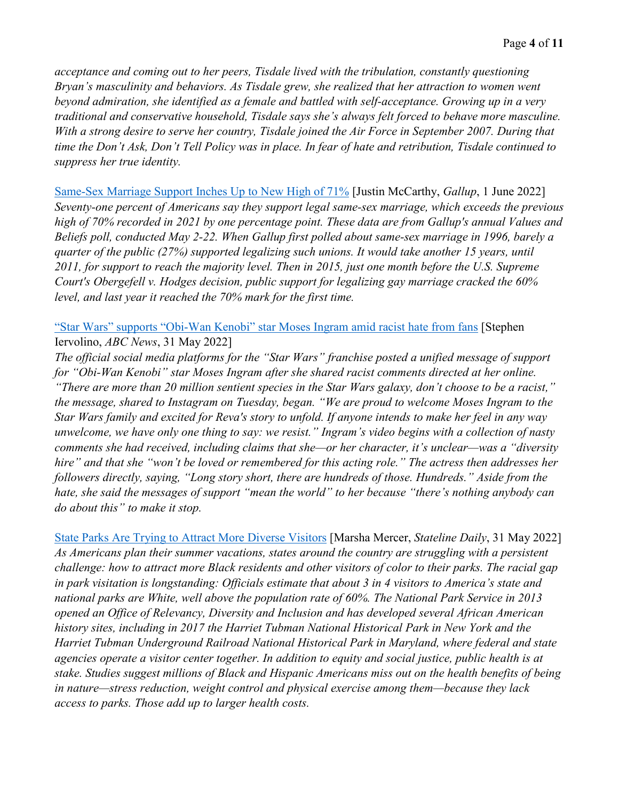*acceptance and coming out to her peers, Tisdale lived with the tribulation, constantly questioning Bryan's masculinity and behaviors. As Tisdale grew, she realized that her attraction to women went beyond admiration, she identified as a female and battled with self-acceptance. Growing up in a very traditional and conservative household, Tisdale says she's always felt forced to behave more masculine. With a strong desire to serve her country, Tisdale joined the Air Force in September 2007. During that time the Don't Ask, Don't Tell Policy was in place. In fear of hate and retribution, Tisdale continued to suppress her true identity.* 

[Same-Sex Marriage Support Inches Up to New High of 71%](https://news.gallup.com/poll/393197/same-sex-marriage-support-inches-new-high.aspx) [Justin McCarthy, *Gallup*, 1 June 2022] *Seventy-one percent of Americans say they support legal same-sex marriage, which exceeds the previous high of 70% recorded in 2021 by one percentage point. These data are from Gallup's annual Values and Beliefs poll, conducted May 2-22. When Gallup first polled about same-sex marriage in 1996, barely a quarter of the public (27%) supported legalizing such unions. It would take another 15 years, until 2011, for support to reach the majority level. Then in 2015, just one month before the U.S. Supreme Court's Obergefell v. Hodges decision, public support for legalizing gay marriage cracked the 60% level, and last year it reached the 70% mark for the first time.* 

["Star Wars" supports "Obi-Wan Kenobi" star Moses Ingram amid racist hate from fans](https://abcnews.go.com/GMA/Culture/star-wars-supports-obi-wan-kenobi-star-moses/story?id=85082672) [Stephen Iervolino, *ABC News*, 31 May 2022]

*The official social media platforms for the "Star Wars" franchise posted a unified message of support for "Obi-Wan Kenobi" star Moses Ingram after she shared racist comments directed at her online. "There are more than 20 million sentient species in the Star Wars galaxy, don't choose to be a racist," the message, shared to Instagram on Tuesday, began. "We are proud to welcome Moses Ingram to the Star Wars family and excited for Reva's story to unfold. If anyone intends to make her feel in any way unwelcome, we have only one thing to say: we resist." Ingram's video begins with a collection of nasty comments she had received, including claims that she—or her character, it's unclear—was a "diversity hire" and that she "won't be loved or remembered for this acting role." The actress then addresses her followers directly, saying, "Long story short, there are hundreds of those. Hundreds." Aside from the hate, she said the messages of support "mean the world" to her because "there's nothing anybody can do about this" to make it stop.* 

[State Parks Are Trying to Attract More Diverse Visitors](https://www.pewtrusts.org/en/research-and-analysis/blogs/stateline/2022/05/31/state-parks-are-trying-to-attract-more-diverse-visitors) [Marsha Mercer, *Stateline Daily*, 31 May 2022] *As Americans plan their summer vacations, states around the country are struggling with a persistent challenge: how to attract more Black residents and other visitors of color to their parks. The racial gap in park visitation is longstanding: Officials estimate that about 3 in 4 visitors to America's state and national parks are White, well above the population rate of 60%. The National Park Service in 2013 opened an Office of Relevancy, Diversity and Inclusion and has developed several African American history sites, including in 2017 the Harriet Tubman National Historical Park in New York and the Harriet Tubman Underground Railroad National Historical Park in Maryland, where federal and state agencies operate a visitor center together. In addition to equity and social justice, public health is at stake. Studies suggest millions of Black and Hispanic Americans miss out on the health benefits of being in nature—stress reduction, weight control and physical exercise among them—because they lack access to parks. Those add up to larger health costs.*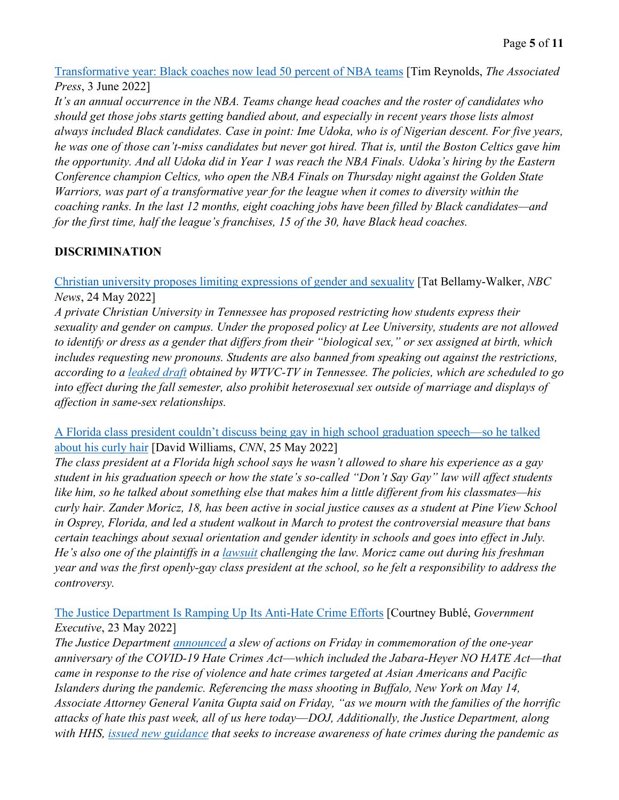[Transformative year: Black coaches now lead 50 percent of NBA teams](https://apnews.com/article/boston-celtics-nba-nfl-sports-a62f219027b6cfebf0453ddd6a022d85) [Tim Reynolds, *The Associated Press*, 3 June 2022]

*It's an annual occurrence in the NBA. Teams change head coaches and the roster of candidates who should get those jobs starts getting bandied about, and especially in recent years those lists almost always included Black candidates. Case in point: Ime Udoka, who is of Nigerian descent. For five years, he was one of those can't-miss candidates but never got hired. That is, until the Boston Celtics gave him the opportunity. And all Udoka did in Year 1 was reach the NBA Finals. Udoka's hiring by the Eastern Conference champion Celtics, who open the NBA Finals on Thursday night against the Golden State Warriors, was part of a transformative year for the league when it comes to diversity within the coaching ranks. In the last 12 months, eight coaching jobs have been filled by Black candidates—and for the first time, half the league's franchises, 15 of the 30, have Black head coaches.* 

## **DISCRIMINATION**

[Christian university proposes limiting expressions of gender and sexuality](https://www.nbcnews.com/nbc-out/out-news/christian-university-proposes-limiting-expressions-gender-sexuality-rcna30337) [Tat Bellamy-Walker, *NBC News*, 24 May 2022]

*A private Christian University in Tennessee has proposed restricting how students express their sexuality and gender on campus. Under the proposed policy at Lee University, students are not allowed to identify or dress as a gender that differs from their "biological sex," or sex assigned at birth, which includes requesting new pronouns. Students are also banned from speaking out against the restrictions, according to a [leaked draft](https://www.scribd.com/document/573588543/Lee-Statement-on-Sexuality-and-Gender%23fullscreen&from_embed) obtained by WTVC-TV in Tennessee. The policies, which are scheduled to go into effect during the fall semester, also prohibit heterosexual sex outside of marriage and displays of affection in same-sex relationships.* 

[A Florida class president couldn't discuss being gay in high school graduation speech—so he talked](https://www.cnn.com/2022/05/25/us/florida-curly-hair-graduation-speech/index.html)  [about his curly hair](https://www.cnn.com/2022/05/25/us/florida-curly-hair-graduation-speech/index.html) [David Williams, *CNN*, 25 May 2022]

*The class president at a Florida high school says he wasn't allowed to share his experience as a gay student in his graduation speech or how the state's so-called "Don't Say Gay" law will affect students like him, so he talked about something else that makes him a little different from his classmates—his curly hair. Zander Moricz, 18, has been active in social justice causes as a student at Pine View School in Osprey, Florida, and led a student walkout in March to protest the controversial measure that bans certain teachings about sexual orientation and gender identity in schools and goes into effect in July. He's also one of the plaintiffs in a [lawsuit](https://www.kaplanhecker.com/sites/default/files/ECF%201_Complaint_Equality%20Florida%20et%20al%20v%20Desantis%20et%20al_22cv00134.pdf) challenging the law. Moricz came out during his freshman year and was the first openly-gay class president at the school, so he felt a responsibility to address the controversy.*

[The Justice Department Is Ramping Up Its Anti-Hate Crime Efforts](https://www.govexec.com/management/2022/05/doj-ramps-anti-hate-crime-efforts/367278/) [Courtney Bublé, *Government Executive*, 23 May 2022]

*The Justice Department [announced](https://www.justice.gov/opa/pr/justice-department-announces-new-initiatives-address-and-prevent-hate-crimes-and-hate) a slew of actions on Friday in commemoration of the one-year anniversary of the COVID-19 Hate Crimes Act––which included the Jabara-Heyer NO HATE Act––that came in response to the rise of violence and hate crimes targeted at Asian Americans and Pacific Islanders during the pandemic. Referencing the mass shooting in Buffalo, New York on May 14, Associate Attorney General Vanita Gupta said on Friday, "as we mourn with the families of the horrific attacks of hate this past week, all of us here today––DOJ, Additionally, the Justice Department, along with HHS, [issued new guidance](https://www.justice.gov/hatecrimes/addressing-hate-crimes-against-AAPI) that seeks to increase awareness of hate crimes during the pandemic as*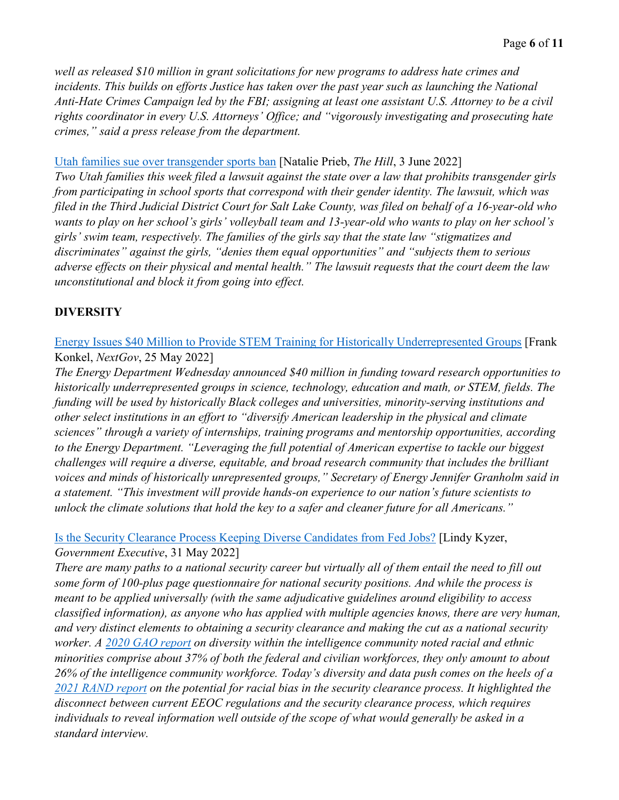*well as released \$10 million in grant solicitations for new programs to address hate crimes and incidents. This builds on efforts Justice has taken over the past year such as launching the National Anti-Hate Crimes Campaign led by the FBI; assigning at least one assistant U.S. Attorney to be a civil rights coordinator in every U.S. Attorneys' Office; and "vigorously investigating and prosecuting hate crimes," said a press release from the department.* 

#### [Utah families sue over transgender sports ban](https://thehill.com/news/state-watch/3510597-utah-families-sue-over-transgender-sports-ban/) [Natalie Prieb, *The Hill*, 3 June 2022]

*Two Utah families this week filed a lawsuit against the state over a law that prohibits transgender girls from participating in school sports that correspond with their gender identity. The lawsuit, which was filed in the Third Judicial District Court for Salt Lake County, was filed on behalf of a 16-year-old who wants to play on her school's girls' volleyball team and 13-year-old who wants to play on her school's girls' swim team, respectively. The families of the girls say that the state law "stigmatizes and discriminates" against the girls, "denies them equal opportunities" and "subjects them to serious adverse effects on their physical and mental health." The lawsuit requests that the court deem the law unconstitutional and block it from going into effect.* 

#### **DIVERSITY**

[Energy Issues \\$40 Million to Provide STEM Training for Historically Underrepresented Groups](https://www.nextgov.com/emerging-tech/2022/05/energy-issues-40-million-provide-stem-training-historically-underrepresented-groups/367385/) [Frank Konkel, *NextGov*, 25 May 2022]

*The Energy Department Wednesday announced \$40 million in funding toward research opportunities to historically underrepresented groups in science, technology, education and math, or STEM, fields. The funding will be used by historically Black colleges and universities, minority-serving institutions and other select institutions in an effort to "diversify American leadership in the physical and climate sciences" through a variety of internships, training programs and mentorship opportunities, according to the Energy Department. "Leveraging the full potential of American expertise to tackle our biggest challenges will require a diverse, equitable, and broad research community that includes the brilliant voices and minds of historically unrepresented groups," Secretary of Energy Jennifer Granholm said in a statement. "This investment will provide hands-on experience to our nation's future scientists to unlock the climate solutions that hold the key to a safer and cleaner future for all Americans."* 

#### [Is the Security Clearance Process Keeping Diverse Candidates from Fed Jobs?](https://www.govexec.com/workforce/2022/05/security-clearance-diverse-candidates-fed-jobs/367444/) [Lindy Kyzer, *Government Executive*, 31 May 2022]

*There are many paths to a national security career but virtually all of them entail the need to fill out some form of 100-plus page questionnaire for national security positions. And while the process is meant to be applied universally (with the same adjudicative guidelines around eligibility to access classified information), as anyone who has applied with multiple agencies knows, there are very human, and very distinct elements to obtaining a security clearance and making the cut as a national security worker. A [2020 GAO report](https://www.gao.gov/products/gao-21-83) on diversity within the intelligence community noted racial and ethnic minorities comprise about 37% of both the federal and civilian workforces, they only amount to about 26% of the intelligence community workforce. Today's diversity and data push comes on the heels of a [2021 RAND report](https://about.clearancejobs.com/hubfs/pdfs/RAND_RRA1201-1.pdf) on the potential for racial bias in the security clearance process. It highlighted the disconnect between current EEOC regulations and the security clearance process, which requires individuals to reveal information well outside of the scope of what would generally be asked in a standard interview.*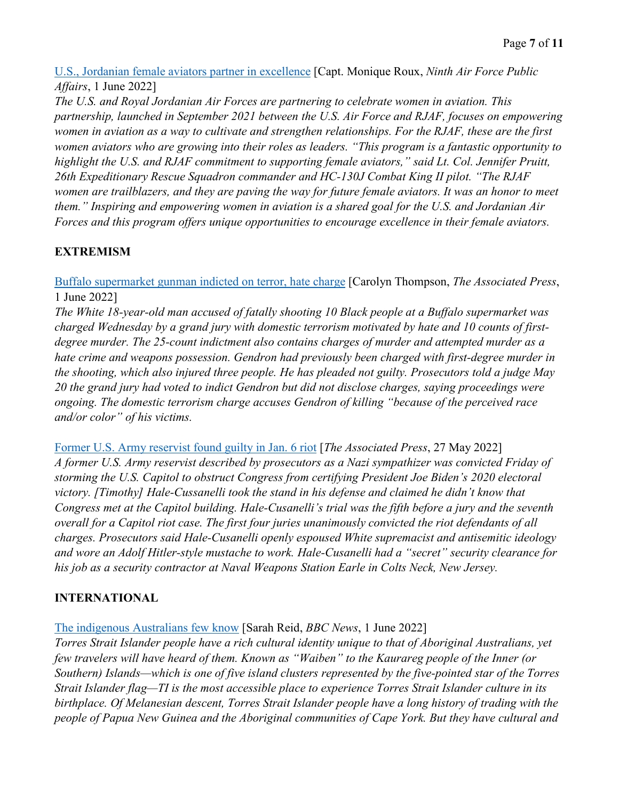[U.S., Jordanian female aviators partner in excellence](https://www.af.mil/News/Article-Display/Article/3048131/us-jordanian-female-aviators-partner-in-excellence/) [Capt. Monique Roux, *Ninth Air Force Public Affairs*, 1 June 2022]

*The U.S. and Royal Jordanian Air Forces are partnering to celebrate women in aviation. This partnership, launched in September 2021 between the U.S. Air Force and RJAF, focuses on empowering women in aviation as a way to cultivate and strengthen relationships. For the RJAF, these are the first women aviators who are growing into their roles as leaders. "This program is a fantastic opportunity to highlight the U.S. and RJAF commitment to supporting female aviators," said Lt. Col. Jennifer Pruitt, 26th Expeditionary Rescue Squadron commander and HC-130J Combat King II pilot. "The RJAF women are trailblazers, and they are paving the way for future female aviators. It was an honor to meet them." Inspiring and empowering women in aviation is a shared goal for the U.S. and Jordanian Air Forces and this program offers unique opportunities to encourage excellence in their female aviators.* 

## **EXTREMISM**

[Buffalo supermarket gunman indicted on terror, hate charge](https://apnews.com/article/buffalo-supermarket-shooting-politics-shootings-indictments-1ce595dbd268f0d6550c2dee2652b38e) [Carolyn Thompson, *The Associated Press*, 1 June 2022]

*The White 18-year-old man accused of fatally shooting 10 Black people at a Buffalo supermarket was charged Wednesday by a grand jury with domestic terrorism motivated by hate and 10 counts of firstdegree murder. The 25-count indictment also contains charges of murder and attempted murder as a hate crime and weapons possession. Gendron had previously been charged with first-degree murder in the shooting, which also injured three people. He has pleaded not guilty. Prosecutors told a judge May 20 the grand jury had voted to indict Gendron but did not disclose charges, saying proceedings were ongoing. The domestic terrorism charge accuses Gendron of killing "because of the perceived race and/or color" of his victims.* 

[Former U.S. Army reservist found guilty in Jan. 6 riot](https://apnews.com/article/capitol-siege-biden-us-army-congress-25a72dea54a57bce5a5b12ebafd96a56) [*The Associated Press*, 27 May 2022] *A former U.S. Army reservist described by prosecutors as a Nazi sympathizer was convicted Friday of storming the U.S. Capitol to obstruct Congress from certifying President Joe Biden's 2020 electoral victory. [Timothy] Hale-Cussanelli took the stand in his defense and claimed he didn't know that Congress met at the Capitol building. Hale-Cusanelli's trial was the fifth before a jury and the seventh overall for a Capitol riot case. The first four juries unanimously convicted the riot defendants of all charges. Prosecutors said Hale-Cusanelli openly espoused White supremacist and antisemitic ideology and wore an Adolf Hitler-style mustache to work. Hale-Cusanelli had a "secret" security clearance for his job as a security contractor at Naval Weapons Station Earle in Colts Neck, New Jersey.* 

## **INTERNATIONAL**

## [The indigenous Australians few know](https://www.bbc.com/travel/article/20220531-the-indigenous-australians-few-know) [Sarah Reid, *BBC News*, 1 June 2022]

*Torres Strait Islander people have a rich cultural identity unique to that of Aboriginal Australians, yet few travelers will have heard of them. Known as "Waiben" to the Kaurareg people of the Inner (or Southern) Islands—which is one of five island clusters represented by the five-pointed star of the Torres Strait Islander flag—TI is the most accessible place to experience Torres Strait Islander culture in its birthplace. Of Melanesian descent, Torres Strait Islander people have a long history of trading with the people of Papua New Guinea and the Aboriginal communities of Cape York. But they have cultural and*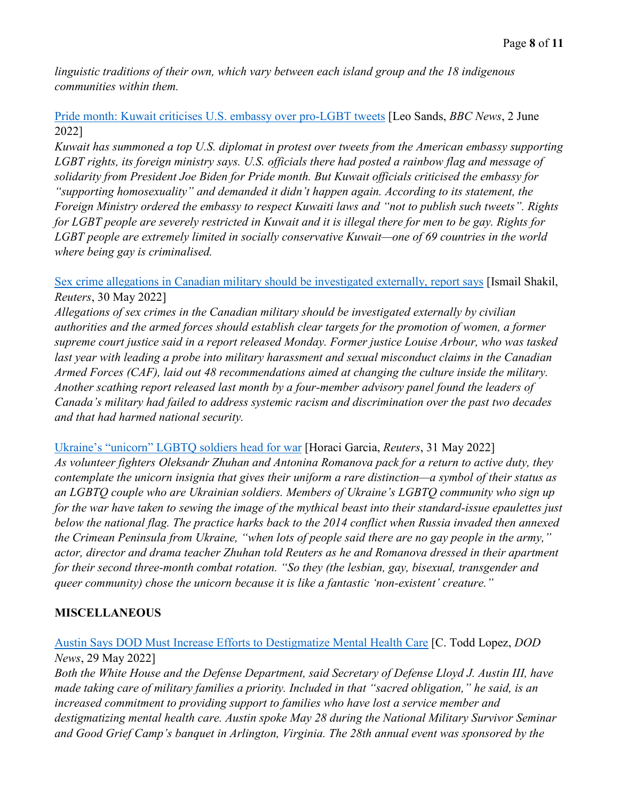*linguistic traditions of their own, which vary between each island group and the 18 indigenous communities within them.*

[Pride month: Kuwait criticises U.S. embassy over pro-LGBT tweets](https://www.bbc.com/news/world-middle-east-61678929) [Leo Sands, *BBC News*, 2 June 2022]

*Kuwait has summoned a top U.S. diplomat in protest over tweets from the American embassy supporting LGBT rights, its foreign ministry says. U.S. officials there had posted a rainbow flag and message of solidarity from President Joe Biden for Pride month. But Kuwait officials criticised the embassy for "supporting homosexuality" and demanded it didn't happen again. According to its statement, the Foreign Ministry ordered the embassy to respect Kuwaiti laws and "not to publish such tweets". Rights for LGBT people are severely restricted in Kuwait and it is illegal there for men to be gay. Rights for LGBT people are extremely limited in socially conservative Kuwait—one of 69 countries in the world where being gay is criminalised.* 

[Sex crime allegations in Canadian military should be investigated externally, report says](https://www.reuters.com/world/americas/sex-crime-allegations-canadian-military-should-be-investigated-externally-report-2022-05-30/) [Ismail Shakil, *Reuters*, 30 May 2022]

*Allegations of sex crimes in the Canadian military should be investigated externally by civilian authorities and the armed forces should establish clear targets for the promotion of women, a former supreme court justice said in a report released Monday. Former justice Louise Arbour, who was tasked last year with leading a probe into military harassment and sexual misconduct claims in the Canadian Armed Forces (CAF), laid out 48 recommendations aimed at changing the culture inside the military. Another scathing report released last month by a four-member advisory panel found the leaders of Canada's military had failed to address systemic racism and discrimination over the past two decades and that had harmed national security.* 

Ukraine's "unicorn" [LGBTQ soldiers head for war](https://www.reuters.com/world/europe/ukraines-unicorn-lgbtq-soldiers-head-war-2022-05-31/) [Horaci Garcia, *Reuters*, 31 May 2022]

*As volunteer fighters Oleksandr Zhuhan and Antonina Romanova pack for a return to active duty, they contemplate the unicorn insignia that gives their uniform a rare distinction—a symbol of their status as an LGBTQ couple who are Ukrainian soldiers. Members of Ukraine's LGBTQ community who sign up for the war have taken to sewing the image of the mythical beast into their standard-issue epaulettes just below the national flag. The practice harks back to the 2014 conflict when Russia invaded then annexed the Crimean Peninsula from Ukraine, "when lots of people said there are no gay people in the army," actor, director and drama teacher Zhuhan told Reuters as he and Romanova dressed in their apartment for their second three-month combat rotation. "So they (the lesbian, gay, bisexual, transgender and queer community) chose the unicorn because it is like a fantastic 'non-existent' creature."*

#### **MISCELLANEOUS**

#### [Austin Says DOD Must Increase Efforts to Destigmatize Mental Health Care](https://www.defense.gov/News/News-Stories/Article/Article/3046883/austin-says-dod-must-increase-efforts-to-destigmatize-mental-health-care/) [C. Todd Lopez, *DOD News*, 29 May 2022]

*Both the White House and the Defense Department, said Secretary of Defense Lloyd J. Austin III, have made taking care of military families a priority. Included in that "sacred obligation," he said, is an increased commitment to providing support to families who have lost a service member and destigmatizing mental health care. Austin spoke May 28 during the National Military Survivor Seminar and Good Grief Camp's banquet in Arlington, Virginia. The 28th annual event was sponsored by the*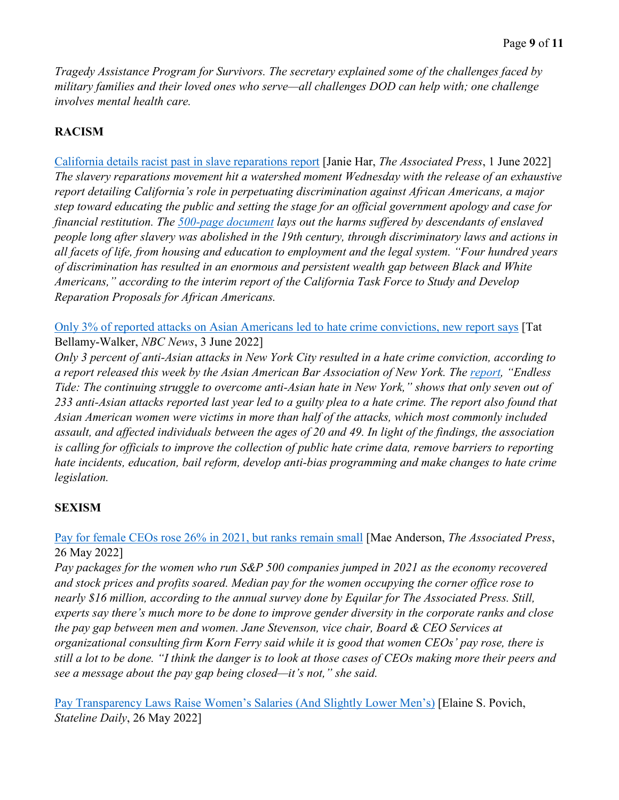*Tragedy Assistance Program for Survivors. The secretary explained some of the challenges faced by military families and their loved ones who serve—all challenges DOD can help with; one challenge involves mental health care.*

## **RACISM**

[California details racist past in slave reparations report](https://apnews.com/article/california-race-and-ethnicity-san-francisco-voter-registration-0cb66f61c4b9f0136c43a17408720d98) [Janie Har, *The Associated Press*, 1 June 2022] *The slavery reparations movement hit a watershed moment Wednesday with the release of an exhaustive report detailing California's role in perpetuating discrimination against African Americans, a major step toward educating the public and setting the stage for an official government apology and case for financial restitution. The [500-page document](https://oag.ca.gov/ab3121/reports) lays out the harms suffered by descendants of enslaved people long after slavery was abolished in the 19th century, through discriminatory laws and actions in all facets of life, from housing and education to employment and the legal system. "Four hundred years of discrimination has resulted in an enormous and persistent wealth gap between Black and White Americans," according to the interim report of the California Task Force to Study and Develop Reparation Proposals for African Americans.* 

[Only 3% of reported attacks on Asian Americans led to hate crime convictions, new report says](https://www.nbcnews.com/news/asian-america/only-3-reported-attacks-asian-americans-led-hate-crime-convictions-new-rcna31618) [Tat Bellamy-Walker, *NBC News*, 3 June 2022]

*Only 3 percent of anti-Asian attacks in New York City resulted in a hate crime conviction, according to a report released this week by the Asian American Bar Association of New York. The [report,](https://cdn.ymaws.com/www.aabany.org/resource/resmgr/aavtf/Endless_Tide_Report_2022_FIN.pdf) "Endless Tide: The continuing struggle to overcome anti-Asian hate in New York," shows that only seven out of 233 anti-Asian attacks reported last year led to a guilty plea to a hate crime. The report also found that Asian American women were victims in more than half of the attacks, which most commonly included assault, and affected individuals between the ages of 20 and 49. In light of the findings, the association is calling for officials to improve the collection of public hate crime data, remove barriers to reporting hate incidents, education, bail reform, develop anti-bias programming and make changes to hate crime legislation.*

## **SEXISM**

#### [Pay for female CEOs rose 26% in 2021, but ranks remain small](https://apnews.com/article/women-ceo-pay-a8111069248c34a3d03549132d6210f0) [Mae Anderson, *The Associated Press*, 26 May 2022]

*Pay packages for the women who run S&P 500 companies jumped in 2021 as the economy recovered and stock prices and profits soared. Median pay for the women occupying the corner office rose to nearly \$16 million, according to the annual survey done by Equilar for The Associated Press. Still, experts say there's much more to be done to improve gender diversity in the corporate ranks and close the pay gap between men and women. Jane Stevenson, vice chair, Board & CEO Services at organizational consulting firm Korn Ferry said while it is good that women CEOs' pay rose, there is still a lot to be done. "I think the danger is to look at those cases of CEOs making more their peers and see a message about the pay gap being closed—it's not," she said.* 

[Pay Transparency Laws Raise Women's Salaries \(And Slightly Lower Men's\)](https://www.pewtrusts.org/en/research-and-analysis/blogs/stateline/2022/05/26/pay-transparency-laws-raise-womens-salaries-and-slightly-lower-mens) [Elaine S. Povich, *Stateline Daily*, 26 May 2022]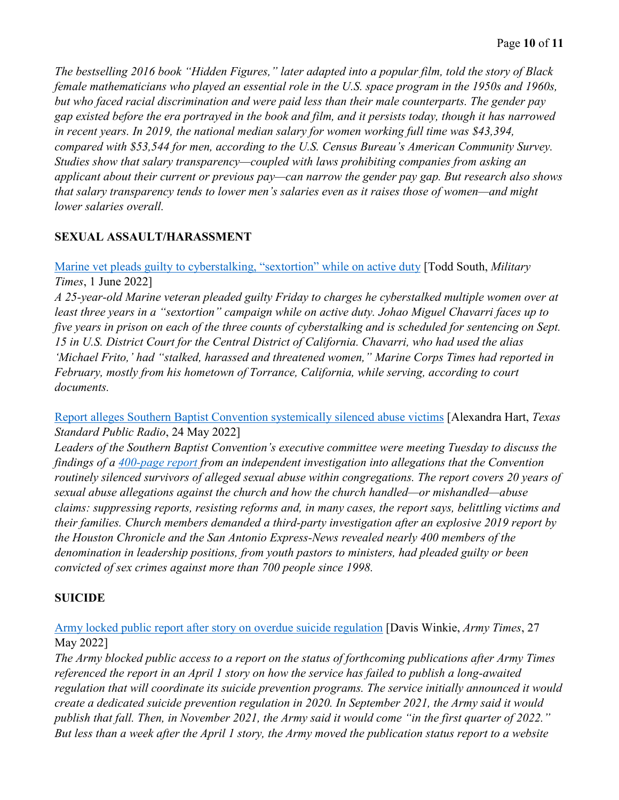*The bestselling 2016 book "Hidden Figures," later adapted into a popular film, told the story of Black female mathematicians who played an essential role in the U.S. space program in the 1950s and 1960s, but who faced racial discrimination and were paid less than their male counterparts. The gender pay gap existed before the era portrayed in the book and film, and it persists today, though it has narrowed in recent years. In 2019, the national median salary for women working full time was \$43,394, compared with \$53,544 for men, according to the U.S. Census Bureau's American Community Survey. Studies show that salary transparency—coupled with laws prohibiting companies from asking an applicant about their current or previous pay—can narrow the gender pay gap. But research also shows that salary transparency tends to lower men's salaries even as it raises those of women—and might lower salaries overall.* 

## **SEXUAL ASSAULT/HARASSMENT**

[Marine vet pleads guilty to cyberstalking, "sextortion" while on active duty](https://www.militarytimes.com/news/your-marine-corps/2022/06/01/marine-veteran-pleads-guilty-to-cyberstalking-sextortion-while-on-active-duty/) [Todd South, *Military Times*, 1 June 2022]

*A 25-year-old Marine veteran pleaded guilty Friday to charges he cyberstalked multiple women over at least three years in a "sextortion" campaign while on active duty. Johao Miguel Chavarri faces up to five years in prison on each of the three counts of cyberstalking and is scheduled for sentencing on Sept. 15 in U.S. District Court for the Central District of California. Chavarri, who had used the alias 'Michael Frito,' had "stalked, harassed and threatened women," Marine Corps Times had reported in February, mostly from his hometown of Torrance, California, while serving, according to court documents.* 

[Report alleges Southern Baptist Convention systemically silenced abuse victims](https://www.texasstandard.org/stories/report-alleges-southern-baptist-convention-systemically-silenced-abuse-victims/) [Alexandra Hart, *Texas Standard Public Radio*, 24 May 2022]

*Leaders of the Southern Baptist Convention's executive committee were meeting Tuesday to discuss the findings of a [400-page report](https://www.houstonchronicle.com/news/investigations/article/Bombshell-400-page-report-finds-Southern-Baptist-17190816.php) from an independent investigation into allegations that the Convention routinely silenced survivors of alleged sexual abuse within congregations. The report covers 20 years of sexual abuse allegations against the church and how the church handled—or mishandled—abuse claims: suppressing reports, resisting reforms and, in many cases, the report says, belittling victims and their families. Church members demanded a third-party investigation after an explosive 2019 report by the Houston Chronicle and the San Antonio Express-News revealed nearly 400 members of the denomination in leadership positions, from youth pastors to ministers, had pleaded guilty or been convicted of sex crimes against more than 700 people since 1998.* 

## **SUICIDE**

[Army locked public report after story on overdue suicide regulation](https://www.armytimes.com/news/your-army/2022/05/27/army-locked-public-report-after-story-on-overdue-suicide-regulation/) [Davis Winkie, *Army Times*, 27 May 2022]

*The Army blocked public access to a report on the status of forthcoming publications after Army Times referenced the report in an April 1 story on how the service has failed to publish a long-awaited regulation that will coordinate its suicide prevention programs. The service initially announced it would create a dedicated suicide prevention regulation in 2020. In September 2021, the Army said it would publish that fall. Then, in November 2021, the Army said it would come "in the first quarter of 2022." But less than a week after the April 1 story, the Army moved the publication status report to a website*